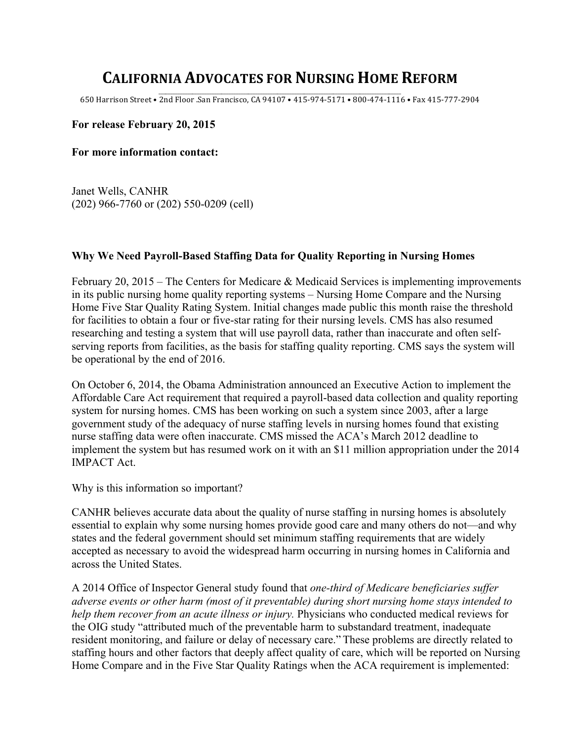## **CALIFORNIA ADVOCATES FOR NURSING HOME REFORM**

\_\_\_\_\_\_\_\_\_\_\_\_\_\_\_\_\_\_\_\_\_\_\_\_\_\_\_\_\_\_\_\_\_\_\_\_\_\_\_\_\_\_\_\_\_\_\_\_\_\_\_\_\_\_\_\_\_\_\_\_\_\_\_\_\_\_\_\_\_\_\_\_\_\_\_\_\_\_\_\_\_\_\_\_\_\_\_\_\_\_\_\_\_\_\_\_\_\_\_\_ 650 Harrison Street • 2nd Floor .San Francisco, CA 94107 • 415-974-5171 • 800-474-1116 • Fax 415-777-2904

## **For release February 20, 2015**

**For more information contact:**

Janet Wells, CANHR (202) 966-7760 or (202) 550-0209 (cell)

## **Why We Need Payroll-Based Staffing Data for Quality Reporting in Nursing Homes**

February 20, 2015 – The Centers for Medicare & Medicaid Services is implementing improvements in its public nursing home quality reporting systems – Nursing Home Compare and the Nursing Home Five Star Quality Rating System. Initial changes made public this month raise the threshold for facilities to obtain a four or five-star rating for their nursing levels. CMS has also resumed researching and testing a system that will use payroll data, rather than inaccurate and often selfserving reports from facilities, as the basis for staffing quality reporting. CMS says the system will be operational by the end of 2016.

On October 6, 2014, the Obama Administration announced an Executive Action to implement the Affordable Care Act requirement that required a payroll-based data collection and quality reporting system for nursing homes. CMS has been working on such a system since 2003, after a large government study of the adequacy of nurse staffing levels in nursing homes found that existing nurse staffing data were often inaccurate. CMS missed the ACA's March 2012 deadline to implement the system but has resumed work on it with an \$11 million appropriation under the 2014 IMPACT Act.

Why is this information so important?

CANHR believes accurate data about the quality of nurse staffing in nursing homes is absolutely essential to explain why some nursing homes provide good care and many others do not—and why states and the federal government should set minimum staffing requirements that are widely accepted as necessary to avoid the widespread harm occurring in nursing homes in California and across the United States.

A 2014 Office of Inspector General study found that *one-third of Medicare beneficiaries suffer adverse events or other harm (most of it preventable) during short nursing home stays intended to help them recover from an acute illness or injury.* Physicians who conducted medical reviews for the OIG study "attributed much of the preventable harm to substandard treatment, inadequate resident monitoring, and failure or delay of necessary care." These problems are directly related to staffing hours and other factors that deeply affect quality of care, which will be reported on Nursing Home Compare and in the Five Star Quality Ratings when the ACA requirement is implemented: